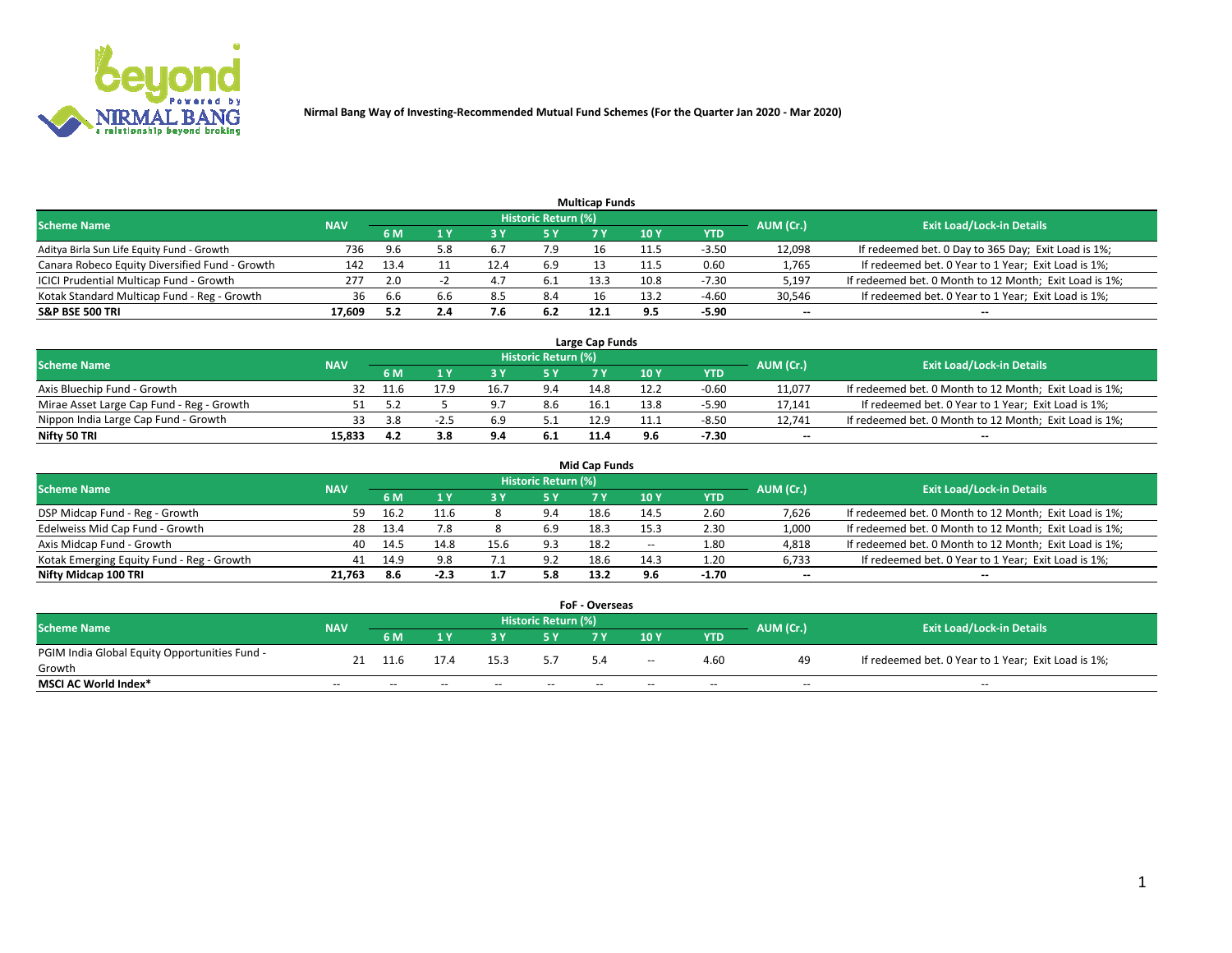

|                                                |            |      |     |      |                     | <b>Multicap Funds</b> |      |         |           |                                                        |
|------------------------------------------------|------------|------|-----|------|---------------------|-----------------------|------|---------|-----------|--------------------------------------------------------|
| <b>Scheme Name</b>                             | <b>NAV</b> |      |     |      | Historic Return (%) |                       |      |         | AUM (Cr.) | <b>Exit Load/Lock-in Details</b>                       |
|                                                |            | 6 M  |     |      | 5 Y                 |                       | 10Y  | YTD     |           |                                                        |
| Aditya Birla Sun Life Equity Fund - Growth     | 736        | 9.6  | 5.8 | b.,  |                     |                       |      | $-3.50$ | 12,098    | If redeemed bet. 0 Day to 365 Day; Exit Load is 1%;    |
| Canara Robeco Equity Diversified Fund - Growth | 142        | 13.4 |     | 12.4 | 6.9                 |                       | 11.5 | 0.60    | 1,765     | If redeemed bet. 0 Year to 1 Year; Exit Load is 1%;    |
| ICICI Prudential Multicap Fund - Growth        | 277        | 2.0  |     | 4. . | 6.1                 | 13.3                  | 10.8 | $-7.30$ | 5,197     | If redeemed bet. 0 Month to 12 Month; Exit Load is 1%; |
| Kotak Standard Multicap Fund - Reg - Growth    | 36         | 6.6  | 6.6 | 8.5  | 8.4                 | 16                    | 13.2 | $-4.60$ | 30,546    | If redeemed bet. 0 Year to 1 Year; Exit Load is 1%;    |
| <b>S&amp;P BSE 500 TRI</b>                     | 17.609     |      | 2.4 |      | 6.2                 | 12.1                  | 9.5  | $-5.90$ | $\sim$    | $-$                                                    |

| Large Cap Funds                           |            |      |      |     |                     |      |      |         |           |                                                        |  |  |  |  |
|-------------------------------------------|------------|------|------|-----|---------------------|------|------|---------|-----------|--------------------------------------------------------|--|--|--|--|
| Scheme Name                               | <b>NAV</b> |      |      |     | Historic Return (%) |      |      |         | AUM (Cr.) | <b>Exit Load/Lock-in Details</b>                       |  |  |  |  |
|                                           |            | 6 M  |      |     | 5 Y                 |      | 10Y  | YTD     |           |                                                        |  |  |  |  |
| Axis Bluechip Fund - Growth               |            | 11.6 | 17.9 | 16. |                     | 14.8 |      | $-0.60$ | 11,077    | If redeemed bet. 0 Month to 12 Month; Exit Load is 1%; |  |  |  |  |
| Mirae Asset Large Cap Fund - Reg - Growth |            |      |      |     | 8.6                 | 16.  | 13.8 | $-5.90$ | 17,141    | If redeemed bet. 0 Year to 1 Year; Exit Load is 1%;    |  |  |  |  |
| Nippon India Large Cap Fund - Growth      |            |      |      | r a | <u>.</u>            | 12.9 | 11.1 | $-8.50$ | 12,741    | If redeemed bet. 0 Month to 12 Month; Exit Load is 1%; |  |  |  |  |
| Nifty 50 TRI                              | 15.833     | 4.2  |      | 9.4 | 6.1                 |      |      | $-7.30$ | $\sim$    | $\sim$                                                 |  |  |  |  |

|                                           |            |      |        |                          |                     | <b>Mid Cap Funds</b> |        |            |           |                                                        |
|-------------------------------------------|------------|------|--------|--------------------------|---------------------|----------------------|--------|------------|-----------|--------------------------------------------------------|
| <b>Scheme Name</b>                        | <b>NAV</b> |      |        |                          | Historic Return (%) |                      |        |            | AUM (Cr.) | <b>Exit Load/Lock-in Details</b>                       |
|                                           |            | 6 M  |        |                          |                     |                      | 10Y    | <b>YTD</b> |           |                                                        |
| DSP Midcap Fund - Reg - Growth            | 59.        | 16.2 |        |                          | 9.4                 | 18.6                 | 14.5   | 2.60       | 7,626     | If redeemed bet. 0 Month to 12 Month; Exit Load is 1%; |
| Edelweiss Mid Cap Fund - Growth           | 28         | 13.4 | 7.8    |                          | 6.9                 | 18.3                 | 15.3   | 2.30       | 1,000     | If redeemed bet. 0 Month to 12 Month; Exit Load is 1%; |
| Axis Midcap Fund - Growth                 | 40         | 14.5 | 14.8   | 15.6                     | 9.3                 | 18.2                 | $\sim$ | 1.80       | 4,818     | If redeemed bet. 0 Month to 12 Month; Exit Load is 1%; |
| Kotak Emerging Equity Fund - Reg - Growth | 41         | 14.9 | 9.8    | $\overline{\phantom{a}}$ | 9.2                 | 18.6                 | 14.3   | 1.20       | 6,733     | If redeemed bet. 0 Year to 1 Year; Exit Load is 1%;    |
| Nifty Midcap 100 TRI                      | 21.763     | 8.6  | $-2.3$ |                          | 5.8                 | 13.2                 | 9.6    | $-1.70$    | $\sim$    |                                                        |

| <b>FoF - Overseas</b>                         |            |           |       |       |                            |     |        |            |           |                                                     |  |  |  |
|-----------------------------------------------|------------|-----------|-------|-------|----------------------------|-----|--------|------------|-----------|-----------------------------------------------------|--|--|--|
| <b>Scheme Name</b>                            | <b>NAV</b> |           |       |       | <b>Historic Return (%)</b> |     |        |            | AUM (Cr.) | <b>Exit Load/Lock-in Details</b>                    |  |  |  |
|                                               |            | <b>6M</b> |       |       |                            |     | 10Y    | <b>YTD</b> |           |                                                     |  |  |  |
| PGIM India Global Equity Opportunities Fund - |            |           |       | 15.3  |                            | 5.4 | $\sim$ | 4.60       | 49        | If redeemed bet. 0 Year to 1 Year; Exit Load is 1%; |  |  |  |
| Growth                                        |            |           |       |       |                            |     |        |            |           |                                                     |  |  |  |
| <b>MSCI AC World Index*</b>                   | $- -$      | --        | $- -$ | $- -$ | $- -$                      |     | $- -$  | $- -$      | $- -$     | $- -$                                               |  |  |  |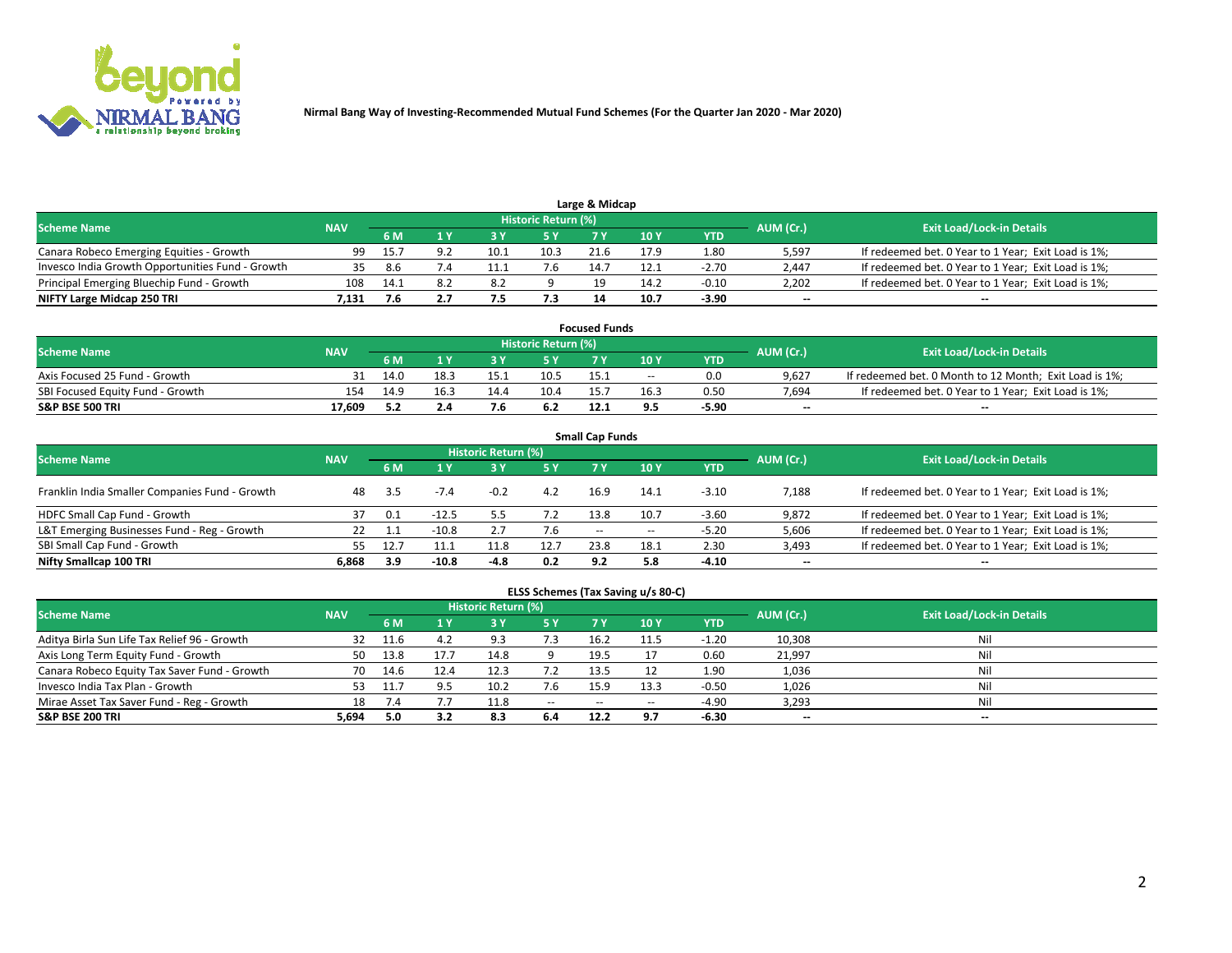

| <b>Scheme Name</b>                               |            |      |     |      | Historic Return (%) |      |      |            |                          |                                                     |
|--------------------------------------------------|------------|------|-----|------|---------------------|------|------|------------|--------------------------|-----------------------------------------------------|
|                                                  | <b>NAV</b> | 5 M  |     |      |                     |      | 10Y  | <b>YTD</b> | AUM (Cr.)                | <b>Exit Load/Lock-in Details</b>                    |
| Canara Robeco Emerging Equities - Growth         | 99         | 15.7 | 9.2 | 10.1 | 10.3                | 21.6 | 17.9 | 1.80       | 5,597                    | If redeemed bet. 0 Year to 1 Year; Exit Load is 1%; |
| Invesco India Growth Opportunities Fund - Growth |            | 8.6  |     |      |                     | 14.7 | 12.1 | $-2.70$    | 2,447                    | If redeemed bet. 0 Year to 1 Year; Exit Load is 1%; |
| Principal Emerging Bluechip Fund - Growth        | 108        | 14.1 | 8.2 | 8.2  |                     |      | 14.2 | $-0.10$    | 2,202                    | If redeemed bet. 0 Year to 1 Year; Exit Load is 1%; |
| NIFTY Large Midcap 250 TRI                       | 7.131      | 7.6  |     | 7.5  | 7.3                 |      | 10.7 | $-3.90$    | $\overline{\phantom{a}}$ | $- -$                                               |

| <b>Focused Funds</b>             |            |     |      |      |                     |      |       |         |           |                                                        |  |  |  |
|----------------------------------|------------|-----|------|------|---------------------|------|-------|---------|-----------|--------------------------------------------------------|--|--|--|
| <b>Scheme Name</b>               | <b>NAV</b> |     |      |      | Historic Return (%) |      |       |         |           | <b>Exit Load/Lock-in Details</b>                       |  |  |  |
|                                  |            | 6 M |      |      |                     |      | 10 Y  | YTD     | AUM (Cr.) |                                                        |  |  |  |
| Axis Focused 25 Fund - Growth    |            |     | 18.3 | 15.1 | 10.5                | 15.1 | $- -$ | 0.0     | 9.627     | If redeemed bet. 0 Month to 12 Month; Exit Load is 1%; |  |  |  |
| SBI Focused Equity Fund - Growth | 154        |     | 16.3 | 14.4 | 10.4                | 15.7 | 16.3  | 0.50    | 7.694     | If redeemed bet. 0 Year to 1 Year; Exit Load is 1%;    |  |  |  |
| <b>S&amp;P BSE 500 TRI</b>       | 17.609     |     | 2.4  |      | 6.2                 | 12.1 |       | $-5.90$ | $\sim$    | $- -$                                                  |  |  |  |

| <b>Small Cap Funds</b>                         |            |     |         |                     |      |               |                 |            |                          |                                                     |  |  |  |  |
|------------------------------------------------|------------|-----|---------|---------------------|------|---------------|-----------------|------------|--------------------------|-----------------------------------------------------|--|--|--|--|
| <b>Scheme Name</b>                             | <b>NAV</b> |     |         | Historic Return (%) |      |               |                 |            |                          | <b>Exit Load/Lock-in Details</b>                    |  |  |  |  |
|                                                |            | 6 M |         |                     | 5 Y  | <b>7 Y</b>    | 10 <sub>Y</sub> | <b>YTD</b> | AUM (Cr.)                |                                                     |  |  |  |  |
| Franklin India Smaller Companies Fund - Growth | 48         | 3.5 |         | $-0.2$              | 4.2  | 16.9          | 14.1            | $-3.10$    | 7,188                    | If redeemed bet. 0 Year to 1 Year; Exit Load is 1%; |  |  |  |  |
| HDFC Small Cap Fund - Growth                   | 37         | 0.1 | $-12.5$ |                     | 7.2  | 13.8          | 10.7            | $-3.60$    | 9,872                    | If redeemed bet. 0 Year to 1 Year; Exit Load is 1%; |  |  |  |  |
| L&T Emerging Businesses Fund - Reg - Growth    | 22         |     | $-10.8$ |                     | 7.6  | $\sim$ $\sim$ | $- -$           | $-5.20$    | 5,606                    | If redeemed bet. 0 Year to 1 Year; Exit Load is 1%; |  |  |  |  |
| SBI Small Cap Fund - Growth                    | 55.        |     |         | 11.8                | 12.7 | 23.8          | 18.1            | 2.30       | 3,493                    | If redeemed bet. 0 Year to 1 Year; Exit Load is 1%; |  |  |  |  |
| Nifty Smallcap 100 TRI                         | 6.868      | 3.9 | $-10.8$ | -4.8                | 0.2  | 9.2           | 5.8             | $-4.10$    | $\overline{\phantom{m}}$ | $\overline{\phantom{a}}$                            |  |  |  |  |

## **ELSS Schemes (Tax Saving u/s 80-C)**

| <b>Scheme Name</b>                           | <b>NAV</b> |      |                         | <b>Historic Return (%)</b> |           |                          |               |         | AUM (Cr.) | <b>Exit Load/Lock-in Details</b> |
|----------------------------------------------|------------|------|-------------------------|----------------------------|-----------|--------------------------|---------------|---------|-----------|----------------------------------|
|                                              |            | 6 M  | $\mathbf{A} \mathbf{V}$ | 73 Y                       | <b>5Y</b> | 7 Y                      | $\sqrt{10}$ Y | YTD     |           |                                  |
| Aditya Birla Sun Life Tax Relief 96 - Growth | 32         |      |                         | 9.3                        | 7.3       | 16.2                     |               | $-1.20$ | 10,308    | Nil                              |
| Axis Long Term Equity Fund - Growth          | 50         | 13.8 |                         | 14.8                       |           | 19.5                     |               | 0.60    | 21,997    | Nil                              |
| Canara Robeco Equity Tax Saver Fund - Growth | 70         | 14.6 |                         |                            |           | 13.5                     |               | 1.90    | 1,036     | Nil                              |
| Invesco India Tax Plan - Growth              | 53         |      |                         | 10.2                       | 7.6       | 15.9                     | 13.3          | $-0.50$ | 1,026     | Nil                              |
| Mirae Asset Tax Saver Fund - Reg - Growth    | 18         |      |                         | 11.8                       | $\sim$    | $\overline{\phantom{a}}$ | --            | $-4.90$ | 3,293     | Nil                              |
| S&P BSE 200 TRI                              | 5,694      | 5.0  |                         | 8.3                        | 6.4       | 12.2                     | 9.7           | $-6.30$ | $\sim$    | $- -$                            |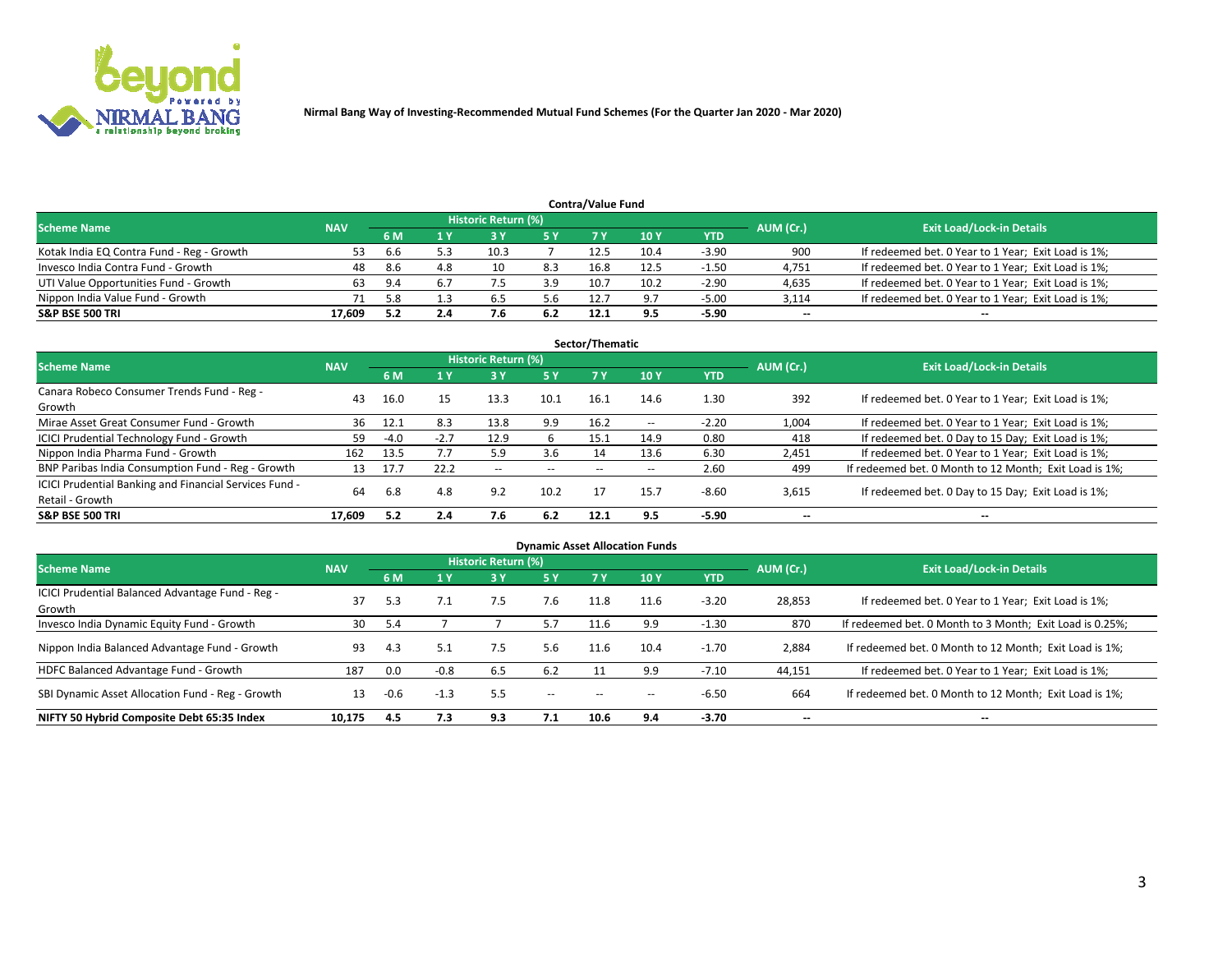

| <b>Contra/Value Fund</b>                                                                                        |        |     |     |      |     |      |       |            |        |                                                     |  |  |  |  |
|-----------------------------------------------------------------------------------------------------------------|--------|-----|-----|------|-----|------|-------|------------|--------|-----------------------------------------------------|--|--|--|--|
| <b>Historic Return (%)</b><br><b>Exit Load/Lock-in Details</b><br>AUM (Cr.)<br><b>Scheme Name</b><br><b>NAV</b> |        |     |     |      |     |      |       |            |        |                                                     |  |  |  |  |
|                                                                                                                 |        | 6 M |     |      | 5 Y | 7 V  | 10Y   | <b>YTD</b> |        |                                                     |  |  |  |  |
| Kotak India EQ Contra Fund - Reg - Growth                                                                       | 53.    | 6.6 |     | 10.3 |     | 12.5 | 10.4  | $-3.90$    | 900    | If redeemed bet. 0 Year to 1 Year; Exit Load is 1%; |  |  |  |  |
| Invesco India Contra Fund - Growth                                                                              | 48     | 8.6 | 4.8 | 10   | 8.3 | 16.8 | 12.5  | $-1.50$    | 4,751  | If redeemed bet. 0 Year to 1 Year; Exit Load is 1%; |  |  |  |  |
| UTI Value Opportunities Fund - Growth                                                                           | 63.    | 9.4 |     |      | 3.9 | 10.7 | 10.2  | $-2.90$    | 4,635  | If redeemed bet. 0 Year to 1 Year; Exit Load is 1%; |  |  |  |  |
| Nippon India Value Fund - Growth                                                                                |        | 58  |     | 6.5  | 5.6 | 12.7 | - Q 7 | $-5.00$    | 3,114  | If redeemed bet. 0 Year to 1 Year; Exit Load is 1%; |  |  |  |  |
| <b>S&amp;P BSE 500 TRI</b>                                                                                      | 17.609 |     | 2.4 |      | 6.2 | 12.1 | 9.5   | $-5.90$    | $\sim$ | $- -$                                               |  |  |  |  |

|                                                                           |            |        |        |                          |           | Sector/Thematic |               |            |                          |                                                        |
|---------------------------------------------------------------------------|------------|--------|--------|--------------------------|-----------|-----------------|---------------|------------|--------------------------|--------------------------------------------------------|
| <b>Scheme Name</b>                                                        | <b>NAV</b> |        |        | Historic Return (%)      |           |                 |               |            | AUM (Cr.)                | <b>Exit Load/Lock-in Details</b>                       |
|                                                                           |            | 6 M    | 1 Y    | 73 Y                     | <b>5Y</b> | 7 Y             | 10Y           | <b>YTD</b> |                          |                                                        |
| Canara Robeco Consumer Trends Fund - Reg -<br>Growth                      | 43         | 16.0   | 15     | 13.3                     | 10.1      | 16.1            | 14.6          | 1.30       | 392                      | If redeemed bet. 0 Year to 1 Year; Exit Load is 1%;    |
| Mirae Asset Great Consumer Fund - Growth                                  | 36         | 12.1   | 8.3    | 13.8                     | 9.9       | 16.2            | $\sim$ $\sim$ | $-2.20$    | 1,004                    | If redeemed bet. 0 Year to 1 Year; Exit Load is 1%;    |
| ICICI Prudential Technology Fund - Growth                                 | 59         | $-4.0$ | $-2.7$ | 12.9                     | h         | 15.1            | 14.9          | 0.80       | 418                      | If redeemed bet. 0 Day to 15 Day; Exit Load is 1%;     |
| Nippon India Pharma Fund - Growth                                         | 162        | 13.5   |        | 5.9                      | 3.6       | 14              | 13.6          | 6.30       | 2,451                    | If redeemed bet. 0 Year to 1 Year; Exit Load is 1%;    |
| BNP Paribas India Consumption Fund - Reg - Growth                         | 13         | 17.7   | 22.2   | $\overline{\phantom{a}}$ | $- -$     | $- -$           | $- -$         | 2.60       | 499                      | If redeemed bet. 0 Month to 12 Month; Exit Load is 1%; |
| ICICI Prudential Banking and Financial Services Fund -<br>Retail - Growth | 64         | 6.8    | 4.8    | 9.2                      | 10.2      |                 | 15.7          | $-8.60$    | 3,615                    | If redeemed bet. 0 Day to 15 Day; Exit Load is 1%;     |
| <b>S&amp;P BSE 500 TRI</b>                                                | 17.609     | 5.2    | 2.4    | 7.6                      | 6.2       | 12.1            | 9.5           | $-5.90$    | $\overline{\phantom{a}}$ | $\overline{\phantom{a}}$                               |

|                                                            |            |        |        |                     |        |      | <b>Dynamic Asset Allocation Funds</b> |            |                          |                                                          |
|------------------------------------------------------------|------------|--------|--------|---------------------|--------|------|---------------------------------------|------------|--------------------------|----------------------------------------------------------|
| <b>Scheme Name</b>                                         | <b>NAV</b> |        |        | Historic Return (%) |        |      |                                       |            | AUM (Cr.)                | <b>Exit Load/Lock-in Details</b>                         |
|                                                            |            | 6 M    |        | 3 Y                 | 5 Y    | 7 Y  | 10 <sub>Y</sub>                       | <b>YTD</b> |                          |                                                          |
| ICICI Prudential Balanced Advantage Fund - Reg -<br>Growth | 37         | 5.3    |        | 7.5                 | 7.6    | 11.8 | 11.6                                  | $-3.20$    | 28,853                   | If redeemed bet. 0 Year to 1 Year; Exit Load is 1%;      |
| Invesco India Dynamic Equity Fund - Growth                 | 30         | 5.4    |        |                     | 5.7    | 11.6 | 9.9                                   | $-1.30$    | 870                      | If redeemed bet. 0 Month to 3 Month; Exit Load is 0.25%; |
| Nippon India Balanced Advantage Fund - Growth              | 93         | 4.3    |        | 7.5                 | 5.6    | 11.6 | 10.4                                  | $-1.70$    | 2,884                    | If redeemed bet. 0 Month to 12 Month; Exit Load is 1%;   |
| HDFC Balanced Advantage Fund - Growth                      | 187        | 0.0    | $-0.8$ | 6.5                 | 6.2    |      | 9.9                                   | $-7.10$    | 44,151                   | If redeemed bet. 0 Year to 1 Year; Exit Load is 1%;      |
| SBI Dynamic Asset Allocation Fund - Reg - Growth           | 13         | $-0.6$ | $-1.3$ | 5.5                 | $\sim$ | --   | --                                    | $-6.50$    | 664                      | If redeemed bet. 0 Month to 12 Month; Exit Load is 1%;   |
| NIFTY 50 Hybrid Composite Debt 65:35 Index                 | 10,175     | 4.5    | 7.3    | 9.3                 | 7.1    | 10.6 | 9.4                                   | $-3.70$    | $\overline{\phantom{a}}$ | $\overline{\phantom{m}}$                                 |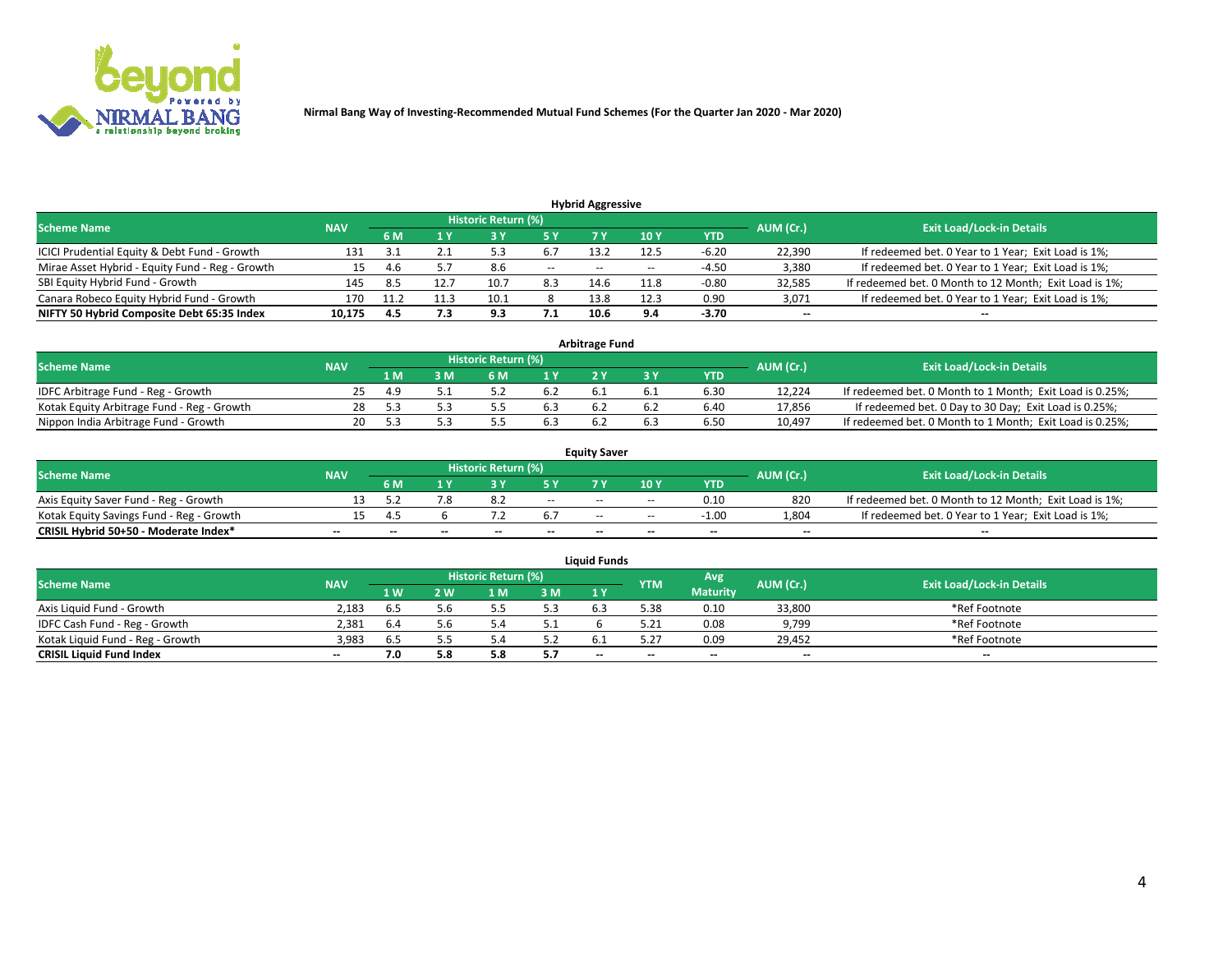

| <b>Hybrid Aggressive</b>                        |            |      |     |                            |        |                          |       |         |                          |                                                        |  |  |  |  |
|-------------------------------------------------|------------|------|-----|----------------------------|--------|--------------------------|-------|---------|--------------------------|--------------------------------------------------------|--|--|--|--|
| <b>Scheme Name</b>                              | <b>NAV</b> |      |     | <b>Historic Return (%)</b> |        |                          |       |         | AUM (Cr.)                | <b>Exit Load/Lock-in Details</b>                       |  |  |  |  |
|                                                 |            | 6 M  |     |                            |        |                          | 10Y   | YTD     |                          |                                                        |  |  |  |  |
| ICICI Prudential Equity & Debt Fund - Growth    | 131        |      |     |                            | 6.7    | 13.2                     | 12.5  | $-6.20$ | 22,390                   | If redeemed bet. 0 Year to 1 Year; Exit Load is 1%;    |  |  |  |  |
| Mirae Asset Hybrid - Equity Fund - Reg - Growth | 15         | 4.6  |     | 8.6                        | $\sim$ | $\overline{\phantom{a}}$ | $- -$ | $-4.50$ | 3,380                    | If redeemed bet. 0 Year to 1 Year; Exit Load is 1%;    |  |  |  |  |
| SBI Equity Hybrid Fund - Growth                 | 145        | 8.5  |     | 10.1                       | 8.3    | 14.6                     | 11.8  | $-0.80$ | 32,585                   | If redeemed bet. 0 Month to 12 Month; Exit Load is 1%; |  |  |  |  |
| Canara Robeco Equity Hybrid Fund - Growth       | 170        | 11.7 |     | 10.1                       |        | 13.8                     | 12.3  | 0.90    | 3,071                    | If redeemed bet. 0 Year to 1 Year; Exit Load is 1%;    |  |  |  |  |
| NIFTY 50 Hybrid Composite Debt 65:35 Index      | 10,175     | 4.5  | 7.3 | 9.3                        | 7.1    | 10.6                     | 9.4   | $-3.70$ | $\overline{\phantom{a}}$ | $- -$                                                  |  |  |  |  |

|                                            | <b>Arbitrage Fund</b> |           |                                  |     |     |  |  |      |        |                                                          |  |  |  |  |  |
|--------------------------------------------|-----------------------|-----------|----------------------------------|-----|-----|--|--|------|--------|----------------------------------------------------------|--|--|--|--|--|
| <b>Scheme Name</b>                         | <b>NAV</b>            | AUM (Cr.) | <b>Exit Load/Lock-in Details</b> |     |     |  |  |      |        |                                                          |  |  |  |  |  |
|                                            |                       | 1 M       | ያ M                              | 6 M |     |  |  | YTD  |        |                                                          |  |  |  |  |  |
| IDFC Arbitrage Fund - Reg - Growth         | 25.                   | 4.9       |                                  |     | 6.2 |  |  | 6.30 | 12,224 | If redeemed bet. 0 Month to 1 Month; Exit Load is 0.25%; |  |  |  |  |  |
| Kotak Equity Arbitrage Fund - Reg - Growth | 28                    |           |                                  |     | 6.3 |  |  | 6.40 | 17,856 | If redeemed bet. 0 Day to 30 Day; Exit Load is 0.25%;    |  |  |  |  |  |
| Nippon India Arbitrage Fund - Growth       | 20.                   |           |                                  |     | 6.3 |  |  | 6.50 | 10,497 | If redeemed bet. 0 Month to 1 Month; Exit Load is 0.25%; |  |  |  |  |  |

|                                          | <b>Equity Saver</b> |           |                                  |                          |                          |               |               |            |                          |                                                        |  |  |  |  |  |
|------------------------------------------|---------------------|-----------|----------------------------------|--------------------------|--------------------------|---------------|---------------|------------|--------------------------|--------------------------------------------------------|--|--|--|--|--|
| Scheme Name                              | <b>NAV</b>          | AUM (Cr.) | <b>Exit Load/Lock-in Details</b> |                          |                          |               |               |            |                          |                                                        |  |  |  |  |  |
|                                          |                     | 6 M       |                                  |                          | 5 Y                      |               | $\sqrt{10}$ Y | <b>YTD</b> |                          |                                                        |  |  |  |  |  |
| Axis Equity Saver Fund - Reg - Growth    |                     |           |                                  |                          | $\sim$                   | $- -$         | $- -$         | 0.10       | 820                      | If redeemed bet. 0 Month to 12 Month; Exit Load is 1%; |  |  |  |  |  |
| Kotak Equity Savings Fund - Reg - Growth |                     | " ב       |                                  |                          | 6.7                      | $\sim$ $\sim$ | $- -$         | $-1.00$    | 1,804                    | If redeemed bet. 0 Year to 1 Year; Exit Load is 1%;    |  |  |  |  |  |
| CRISIL Hybrid 50+50 - Moderate Index*    |                     | $- -$     | $-$                              | $\overline{\phantom{a}}$ | $\overline{\phantom{a}}$ | $\sim$        | --            | $- -$      | $\overline{\phantom{a}}$ | $- -$                                                  |  |  |  |  |  |

| <b>Liquid Funds</b>              |            |      |     |                            |     |                          |            |                 |           |                                  |  |  |  |  |
|----------------------------------|------------|------|-----|----------------------------|-----|--------------------------|------------|-----------------|-----------|----------------------------------|--|--|--|--|
| Scheme Name                      | <b>NAV</b> |      |     | <b>Historic Return (%)</b> |     |                          | <b>YTM</b> | Avg             | AUM (Cr.) | <b>Exit Load/Lock-in Details</b> |  |  |  |  |
|                                  |            | 1 W. | ว พ | 1 M                        | 3 M | 1 Y                      |            | <b>Maturity</b> |           |                                  |  |  |  |  |
| Axis Liquid Fund - Growth        | 2.183      |      |     |                            | 5.3 | 6.3                      | 5.38       | 0.10            | 33,800    | *Ref Footnote                    |  |  |  |  |
| IDFC Cash Fund - Reg - Growth    | 2.381      | 6.4  |     |                            |     |                          |            | 0.08            | 9,799     | *Ref Footnote                    |  |  |  |  |
| Kotak Liquid Fund - Reg - Growth | 3,983      | 6.S  |     |                            | 5.2 |                          | ミコニ        | 0.09            | 29,452    | *Ref Footnote                    |  |  |  |  |
| <b>CRISIL Liquid Fund Index</b>  | $- -$      |      | 5.8 |                            | 5.7 | $\overline{\phantom{a}}$ | $-$        | $- -$           | $-$       | $- -$                            |  |  |  |  |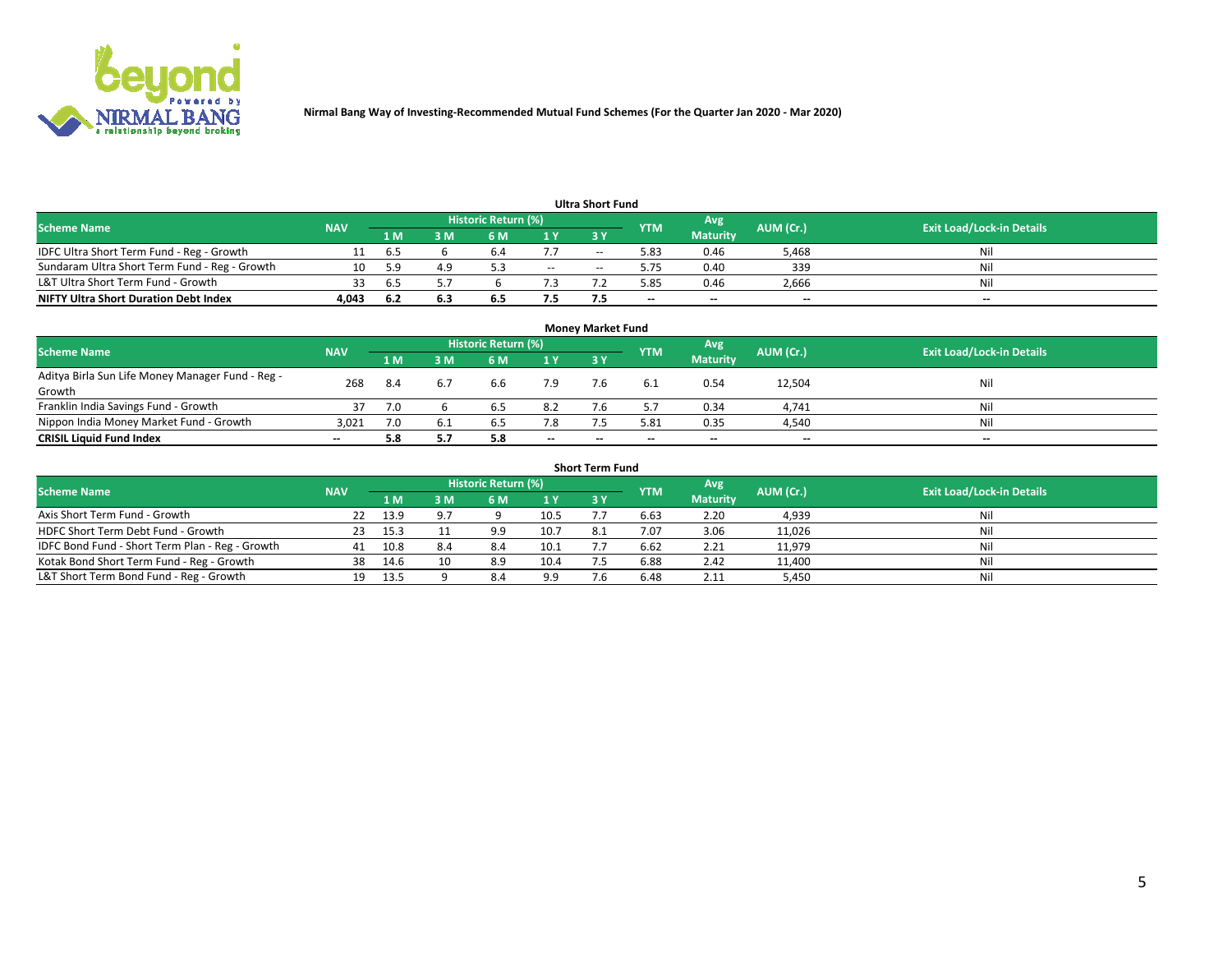

|                                               |            |      |     |                     |     | <b>Ultra Short Fund</b> |            |                 |           |                                  |
|-----------------------------------------------|------------|------|-----|---------------------|-----|-------------------------|------------|-----------------|-----------|----------------------------------|
| <b>Scheme Name</b>                            | <b>NAV</b> |      |     | Historic Return (%) |     |                         | <b>YTM</b> | Avg             | AUM (Cr.) | <b>Exit Load/Lock-in Details</b> |
|                                               |            | 1 M  | 3 M | 6 M                 | 1 Y | 3 Y                     |            | <b>Maturity</b> |           |                                  |
| IDFC Ultra Short Term Fund - Reg - Growth     |            | 6.5  |     | b.4                 | 7.7 | $- -$                   | 5.83       | 0.46            | 5,468     | Nil                              |
| Sundaram Ultra Short Term Fund - Reg - Growth | 10         | -59  | 4.9 |                     | $-$ | --                      | 5.75       | 0.40            | 339       | Nil                              |
| L&T Ultra Short Term Fund - Growth            |            | 6.5  |     |                     |     |                         | 85.ز       | 0.46            | 2,666     | Nil                              |
| <b>NIFTY Ultra Short Duration Debt Index</b>  | 4.043      | -6.2 | 6.3 | 6.5                 | 7.5 |                         | $\sim$     | $\sim$          | $\sim$    | $- -$                            |

| <b>Money Market Fund</b>                         |            |      |     |                     |                |    |                          |                 |           |                                  |  |  |  |  |
|--------------------------------------------------|------------|------|-----|---------------------|----------------|----|--------------------------|-----------------|-----------|----------------------------------|--|--|--|--|
| <b>Scheme Name</b>                               | <b>NAV</b> |      |     | Historic Return (%) |                |    | <b>YTM</b>               | Avg             | AUM (Cr.) | <b>Exit Load/Lock-in Details</b> |  |  |  |  |
|                                                  |            | 1 M  | 3 M | 6 M                 | 1 <sub>Y</sub> | 3Y |                          | <b>Maturity</b> |           |                                  |  |  |  |  |
| Aditya Birla Sun Life Money Manager Fund - Reg - | 268        | -8.4 |     | 6.6                 | 7.9            |    |                          | 0.54            | 12,504    | Nil                              |  |  |  |  |
| Growth                                           |            |      |     |                     |                |    |                          |                 |           |                                  |  |  |  |  |
| Franklin India Savings Fund - Growth             |            | 7.0  |     | 6.5                 | 8.2            |    |                          | 0.34            | 4,741     | Nil                              |  |  |  |  |
| Nippon India Money Market Fund - Growth          | 3,021      | 7.0  | 6.1 | 6.5                 | 7.8            |    | 5.81                     | 0.35            | 4,540     | Nil                              |  |  |  |  |
| <b>CRISIL Liquid Fund Index</b>                  | $- -$      | 5.8  |     | 5.8                 | $\sim$         | -- | $\overline{\phantom{a}}$ | $\sim$          | $- -$     | $- -$                            |  |  |  |  |

| <b>Short Term Fund</b>                          |            |      |     |                     |      |           |            |                 |           |                                  |  |  |  |  |
|-------------------------------------------------|------------|------|-----|---------------------|------|-----------|------------|-----------------|-----------|----------------------------------|--|--|--|--|
| <b>Scheme Name</b>                              | <b>NAV</b> |      |     | Historic Return (%) |      |           | <b>YTM</b> | Avg             | AUM (Cr.) | <b>Exit Load/Lock-in Details</b> |  |  |  |  |
|                                                 |            | 1 M  | 3 M | 6 M                 | 1Y   | <b>3Y</b> |            | <b>Maturity</b> |           |                                  |  |  |  |  |
| Axis Short Term Fund - Growth                   |            | 13.9 | 9.7 |                     | 10.5 |           | 6.63       | 2.20            | 4,939     | Nil                              |  |  |  |  |
| HDFC Short Term Debt Fund - Growth              | -23        | 15.3 |     | 9.9                 | 10.7 | 8.1       | 7.07       | 3.06            | 11,026    | Nil                              |  |  |  |  |
| IDFC Bond Fund - Short Term Plan - Reg - Growth | 41         | 10.8 | 8.4 | 8.4                 | 10.1 |           | 6.62       | 2.21            | 11,979    | Nil                              |  |  |  |  |
| Kotak Bond Short Term Fund - Reg - Growth       | 38         | 14.6 | 10  | 8.9                 | 10.4 |           | 6.88       | 2.42            | 11,400    | Nil                              |  |  |  |  |
| L&T Short Term Bond Fund - Reg - Growth         | 19.        | 13.5 |     | 8.4                 | 9.9  |           | 6.48       | 2.11            | 5,450     | Nil                              |  |  |  |  |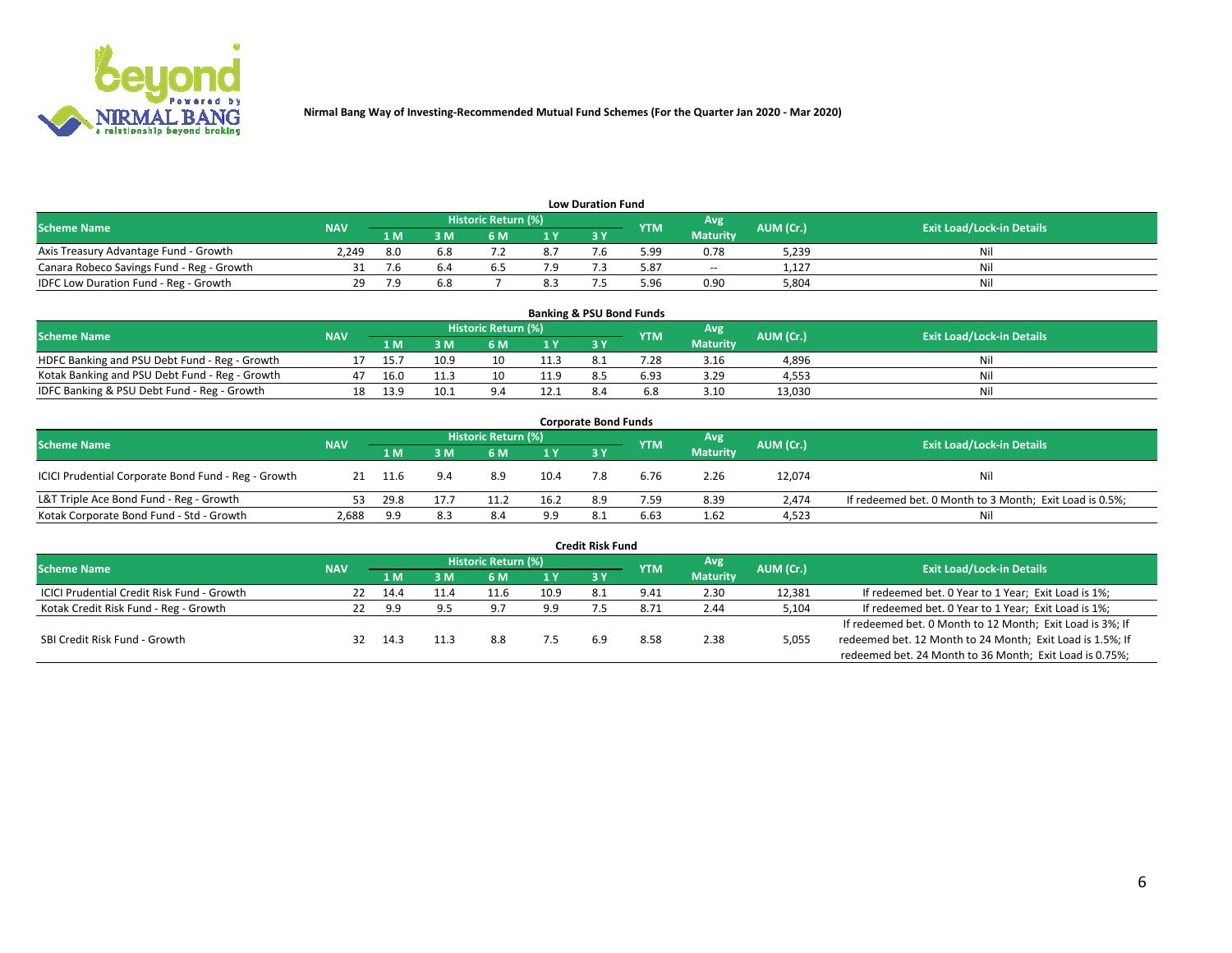

| <b>Low Duration Fund</b>                  |            |      |     |                     |                |           |            |                 |           |                                  |  |  |  |  |
|-------------------------------------------|------------|------|-----|---------------------|----------------|-----------|------------|-----------------|-----------|----------------------------------|--|--|--|--|
| <b>Scheme Name</b>                        | <b>NAV</b> |      |     | Historic Return (%) |                |           | <b>YTM</b> | Avg             | AUM (Cr.) | <b>Exit Load/Lock-in Details</b> |  |  |  |  |
|                                           |            | 1 M  | sм  | 6 M                 | 4 <sub>Y</sub> | <b>3Y</b> |            | <b>Maturity</b> |           |                                  |  |  |  |  |
| Axis Treasury Advantage Fund - Growth     | 2.249      | -8.0 | 6.8 |                     | 8.7            |           | 99.د       | 0.78            | 5,239     | Nil                              |  |  |  |  |
| Canara Robeco Savings Fund - Reg - Growth |            |      |     |                     |                |           | 3.87       | $\sim$          | 1,127     | Nil                              |  |  |  |  |
| IDFC Low Duration Fund - Reg - Growth     | 29.        |      | 6.8 |                     |                |           | .96 ذ      | 0.90            | 5,804     | Nil                              |  |  |  |  |

| <b>Banking &amp; PSU Bond Funds</b>            |            |      |      |                     |      |           |            |                 |           |                                  |  |  |  |
|------------------------------------------------|------------|------|------|---------------------|------|-----------|------------|-----------------|-----------|----------------------------------|--|--|--|
| <b>Scheme Name</b>                             | <b>NAV</b> |      |      | Historic Return (%) |      |           | <b>YTM</b> | Avg             | AUM (Cr.) | <b>Exit Load/Lock-in Details</b> |  |  |  |
|                                                |            | 1 M' | 8 M  |                     |      | <b>3Y</b> |            | <b>Maturity</b> |           |                                  |  |  |  |
| HDFC Banking and PSU Debt Fund - Reg - Growth  |            |      | 10.9 | 10                  | 11.3 |           | .28        | 3.16            | 4,896     | Nil                              |  |  |  |
| Kotak Banking and PSU Debt Fund - Reg - Growth | 47         | 16.0 | 11.3 | 10                  | 11.9 |           | 6.93       | 3.29            | 4,553     | Nil                              |  |  |  |
| IDFC Banking & PSU Debt Fund - Reg - Growth    |            | 13.9 | 10.1 | $Q \Lambda$         | 12.1 |           |            | 3.10            | 13.030    | Nil                              |  |  |  |

| <b>Corporate Bond Funds</b>                         |            |                                                       |     |     |                                  |            |      |                 |        |                                                         |  |  |  |
|-----------------------------------------------------|------------|-------------------------------------------------------|-----|-----|----------------------------------|------------|------|-----------------|--------|---------------------------------------------------------|--|--|--|
| <b>Scheme Name</b>                                  | <b>NAV</b> | Historic Return (%)<br>Avg<br>AUM (Cr.)<br><b>YTM</b> |     |     | <b>Exit Load/Lock-in Details</b> |            |      |                 |        |                                                         |  |  |  |
|                                                     |            | 1 M                                                   | 3 M | 6 M | 1 Y                              | <b>3 Y</b> |      | <b>Maturity</b> |        |                                                         |  |  |  |
| ICICI Prudential Corporate Bond Fund - Reg - Growth |            |                                                       | 9.4 | 8.9 | 10.4                             |            | 6.76 | 2.26            | 12,074 | Nil                                                     |  |  |  |
| L&T Triple Ace Bond Fund - Reg - Growth             |            | 29.8                                                  |     |     | 16.2                             | 8.9        | 7.59 | 8.39            | 2.474  | If redeemed bet. 0 Month to 3 Month; Exit Load is 0.5%; |  |  |  |
| Kotak Corporate Bond Fund - Std - Growth            | 2,688      | 9.9                                                   | 8.3 | 8.4 | 9.9                              | -8.1       | 6.63 | 1.62            | 4,523  | Nil                                                     |  |  |  |

| <b>Credit Risk Fund</b>                           |            |      |     |                            |       |     |               |                 |           |                                                           |  |  |  |
|---------------------------------------------------|------------|------|-----|----------------------------|-------|-----|---------------|-----------------|-----------|-----------------------------------------------------------|--|--|--|
| <b>Scheme Name</b>                                | <b>NAV</b> |      |     | <b>Historic Return (%)</b> |       |     | <b>YTM</b>    | Avg             | AUM (Cr.) | <b>Exit Load/Lock-in Details</b>                          |  |  |  |
|                                                   |            | 1 M  | 3 M | 6 M                        | 71 Y. | 3Y  |               | <b>Maturity</b> |           |                                                           |  |  |  |
| <b>ICICI Prudential Credit Risk Fund - Growth</b> | 22         | 14.4 |     | 11.6                       | 10.9  | 8.1 | 9.41          | 2.30            | 12,381    | If redeemed bet. 0 Year to 1 Year; Exit Load is 1%;       |  |  |  |
| Kotak Credit Risk Fund - Reg - Growth             |            | g q  |     | d.                         | 9.9   |     | $8.7^{\circ}$ | 2.44            | 5,104     | If redeemed bet. 0 Year to 1 Year; Exit Load is 1%;       |  |  |  |
|                                                   |            |      |     |                            |       |     |               |                 |           | If redeemed bet. 0 Month to 12 Month; Exit Load is 3%; If |  |  |  |
| SBI Credit Risk Fund - Growth                     | 32         | 14.3 |     | 8.8                        |       |     | 8.58          | 2.38            | 5,055     | redeemed bet. 12 Month to 24 Month; Exit Load is 1.5%; If |  |  |  |
|                                                   |            |      |     |                            |       |     |               |                 |           | redeemed bet. 24 Month to 36 Month; Exit Load is 0.75%;   |  |  |  |